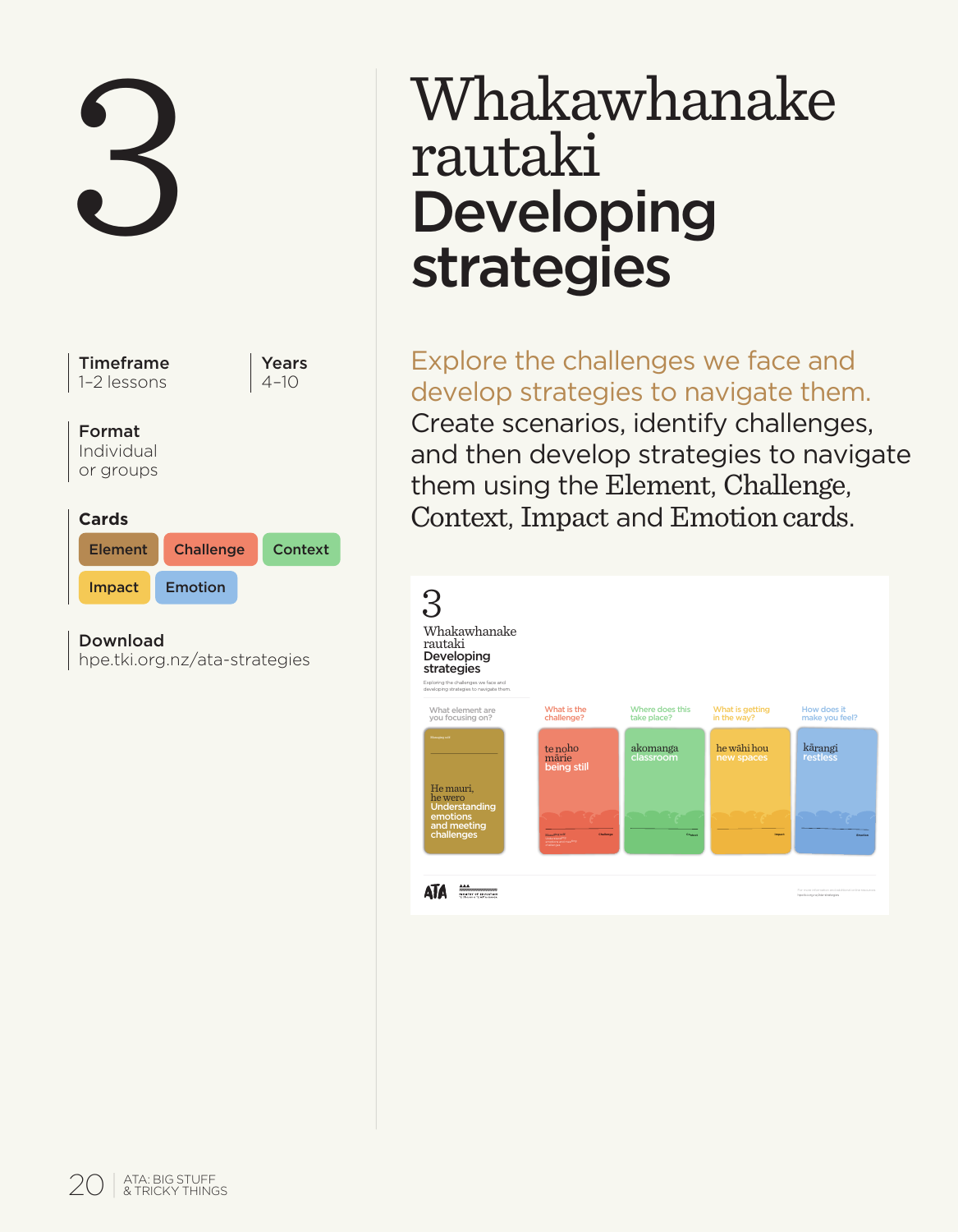

# 3 Whakawhanake rautaki Developing strategies

Explore the challenges we face and develop strategies to navigate them. Create scenarios, identify challenges, and then develop strategies to navigate them using the Element, Challenge, Context, Impact and Emotion cards.

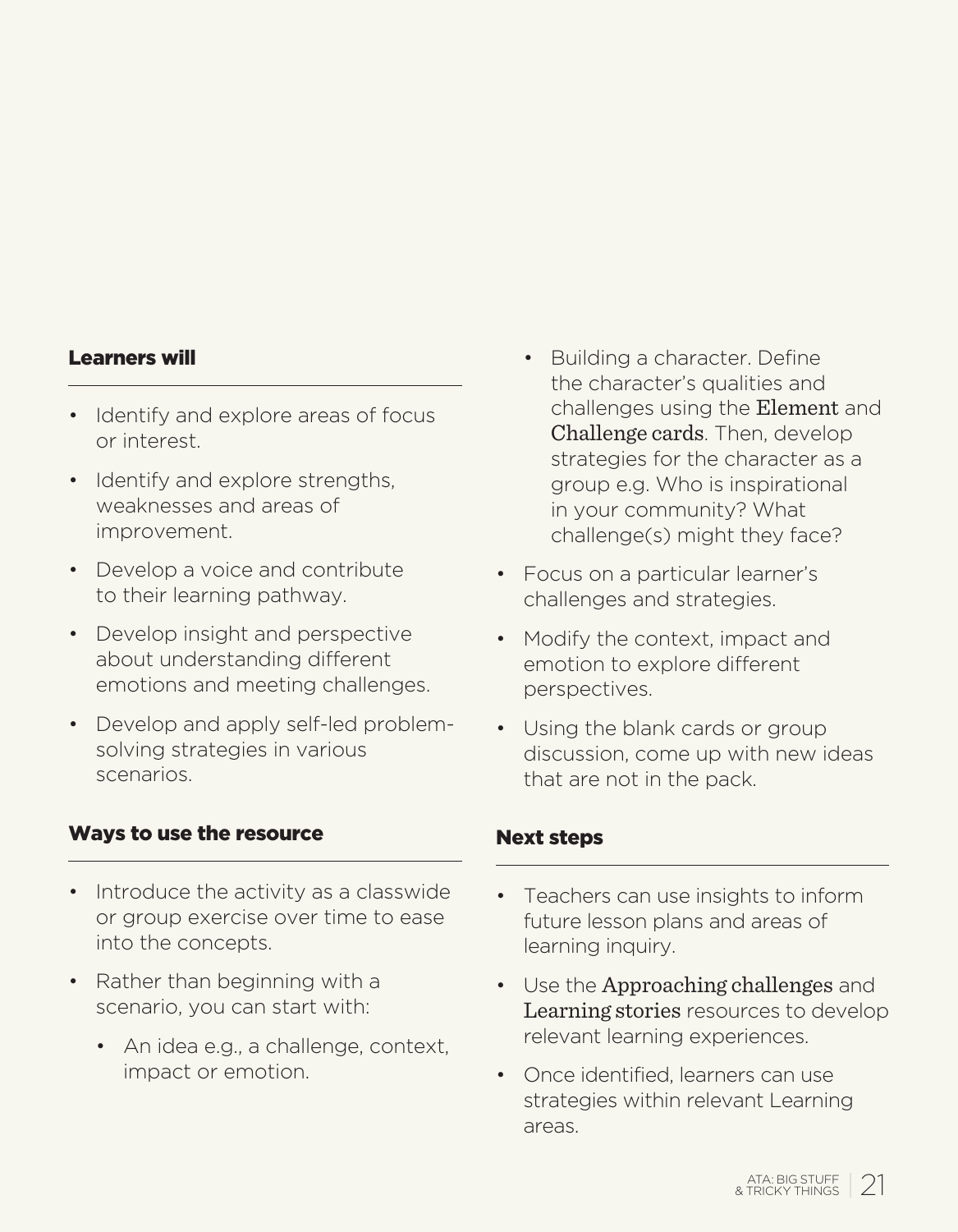#### Learners will

- Identify and explore areas of focus or interest.
- Identify and explore strengths. weaknesses and areas of improvement.
- Develop a voice and contribute to their learning pathway.
- Develop insight and perspective about understanding different emotions and meeting challenges.
- Develop and apply self-led problemsolving strategies in various scenarios.

#### Ways to use the resource Next steps

- Introduce the activity as a classwide or group exercise over time to ease into the concepts.
- Rather than beginning with a scenario, you can start with:
	- An idea e.g., a challenge, context, impact or emotion.
- Building a character. Define the character's qualities and challenges using the Element and Challenge cards. Then, develop strategies for the character as a group e.g. Who is inspirational in your community? What challenge(s) might they face?
- Focus on a particular learner's challenges and strategies.
- Modify the context, impact and emotion to explore different perspectives.
- Using the blank cards or group discussion, come up with new ideas that are not in the pack.

- Teachers can use insights to inform future lesson plans and areas of learning inquiry.
- Use the Approaching challenges and Learning stories resources to develop relevant learning experiences.
- Once identified, learners can use strategies within relevant Learning areas.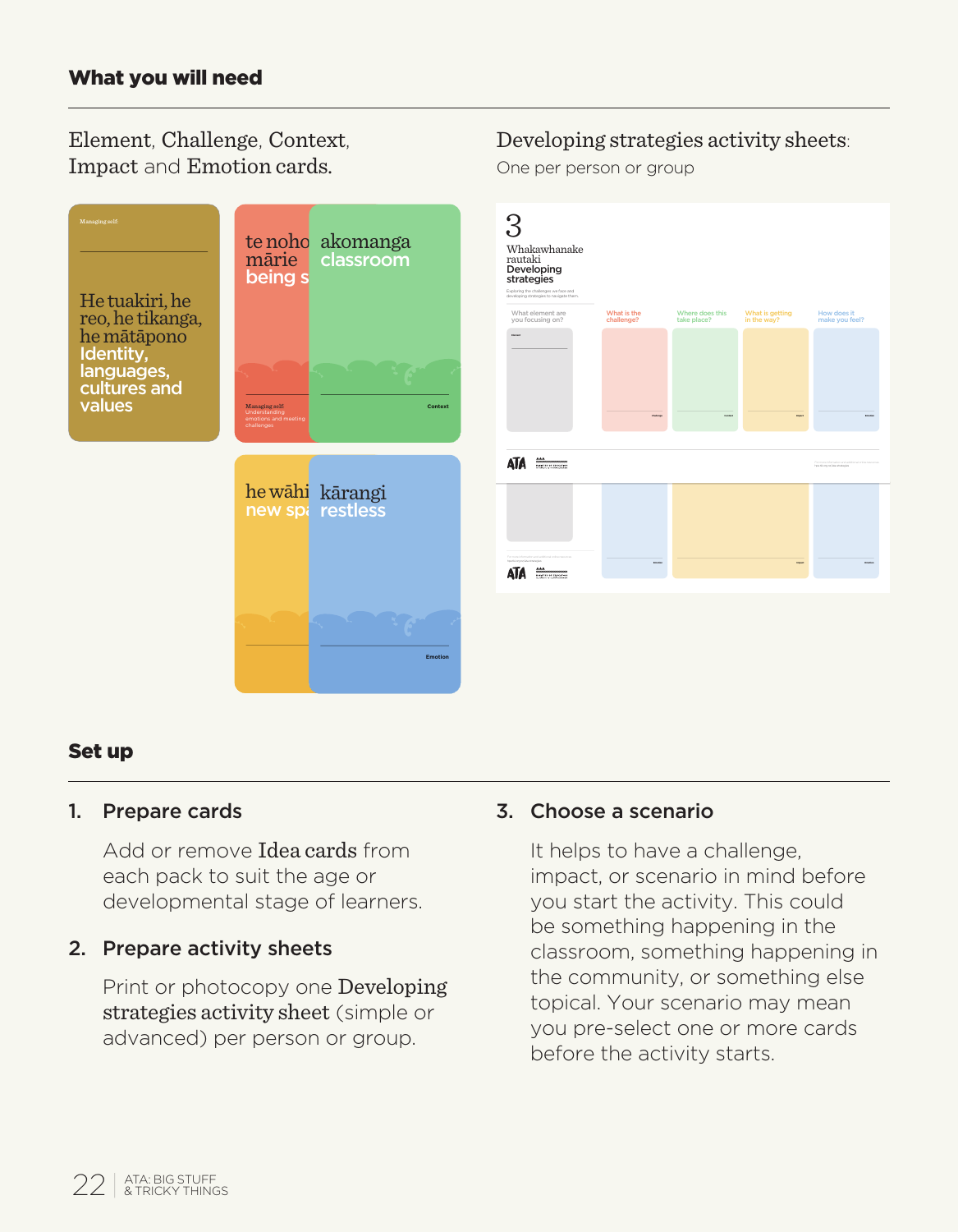Element, Challenge, Context, Impact and Emotion cards.



#### Set up

#### 1. Prepare cards

Add or remove Idea cards from each pack to suit the age or developmental stage of learners.

#### 2. Prepare activity sheets

Print or photocopy one Developing strategies activity sheet (simple or advanced) per person or group.

#### 3. Choose a scenario

It helps to have a challenge, impact, or scenario in mind before you start the activity. This could be something happening in the classroom, something happening in the community, or something else topical. Your scenario may mean you pre-select one or more cards before the activity starts.

Developing strategies activity sheets:

One per person or group